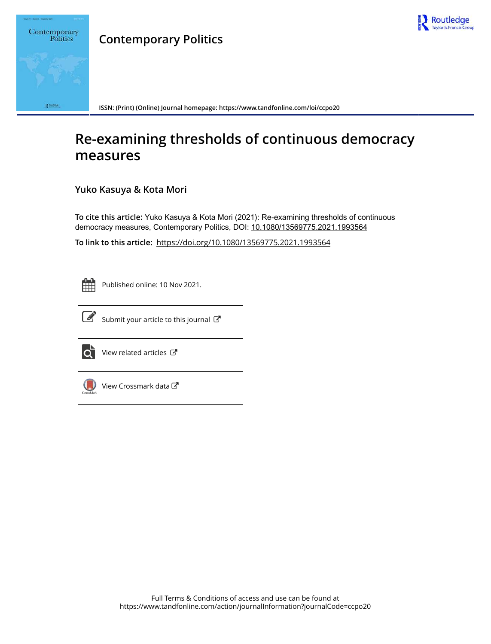

# Contemporary Politics Receive

**Contemporary Politics**

**ISSN: (Print) (Online) Journal homepage: https://www.tandfonline.com/loi/ccpo20**

# **Re-examining thresholds of continuous democracy measures**

**Yuko Kasuya & Kota Mori**

**To cite this article:** Yuko Kasuya & Kota Mori (2021): Re-examining thresholds of continuous democracy measures, Contemporary Politics, DOI: 10.1080/13569775.2021.1993564

**To link to this article:** https://doi.org/10.1080/13569775.2021.1993564



Published online: 10 Nov 2021.



 $\overrightarrow{S}$  Submit your article to this journal  $\overrightarrow{S}$ 



 $\overrightarrow{Q}$  View related articles  $\overrightarrow{C}$ 



View Crossmark data<sup>cy</sup>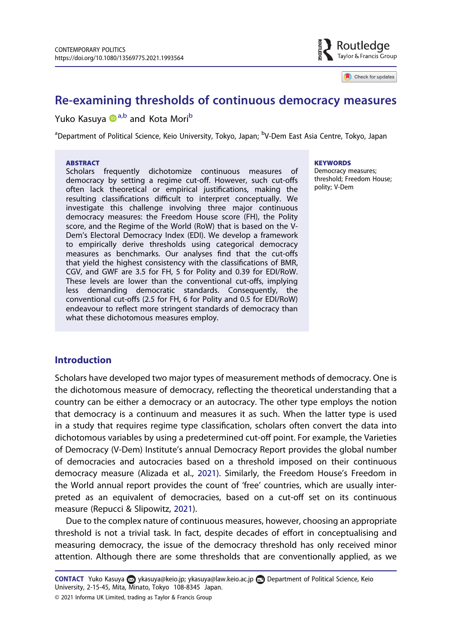

Check for updates

# Re-examining thresholds of continuous democracy measures

## Yuko Kasuya D<sup>a,b</sup> and Kota Mori<sup>b</sup>

<sup>a</sup>Department of Political Science, Keio University, Tokyo, Japan; <sup>b</sup>V-Dem East Asia Centre, Tokyo, Japan

#### **ABSTRACT**

Scholars frequently dichotomize continuous measures of democracy by setting a regime cut-off. However, such cut-offs often lack theoretical or empirical justifications, making the resulting classifications difficult to interpret conceptually. We investigate this challenge involving three major continuous democracy measures: the Freedom House score (FH), the Polity score, and the Regime of the World (RoW) that is based on the V-Dem's Electoral Democracy Index (EDI). We develop a framework to empirically derive thresholds using categorical democracy measures as benchmarks. Our analyses find that the cut-offs that yield the highest consistency with the classifications of BMR, CGV, and GWF are 3.5 for FH, 5 for Polity and 0.39 for EDI/RoW. These levels are lower than the conventional cut-offs, implying less demanding democratic standards. Consequently, the conventional cut-offs (2.5 for FH, 6 for Polity and 0.5 for EDI/RoW) endeavour to reflect more stringent standards of democracy than what these dichotomous measures employ.

**KEYWORDS** 

Democracy measures; threshold; Freedom House; polity; V-Dem

#### **Introduction**

Scholars have developed two major types of measurement methods of democracy. One is the dichotomous measure of democracy, reflecting the theoretical understanding that a country can be either a democracy or an autocracy. The other type employs the notion that democracy is a continuum and measures it as such. When the latter type is used in a study that requires regime type classification, scholars often convert the data into dichotomous variables by using a predetermined cut-off point. For example, the Varieties of Democracy (V-Dem) Institute's annual Democracy Report provides the global number of democracies and autocracies based on a threshold imposed on their continuous democracy measure (Alizada et al., 2021). Similarly, the Freedom House's Freedom in the World annual report provides the count of 'free' countries, which are usually interpreted as an equivalent of democracies, based on a cut-off set on its continuous measure (Repucci & Slipowitz, 2021).

Due to the complex nature of continuous measures, however, choosing an appropriate threshold is not a trivial task. In fact, despite decades of effort in conceptualising and measuring democracy, the issue of the democracy threshold has only received minor attention. Although there are some thresholds that are conventionally applied, as we

<sup>© 2021</sup> Informa UK Limited, trading as Taylor & Francis Group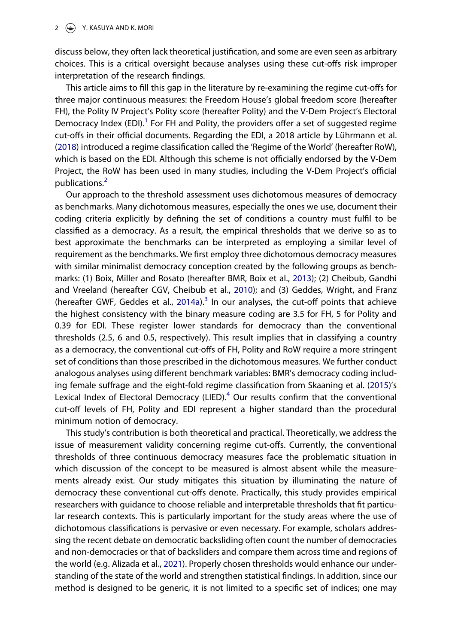discuss below, they often lack theoretical justification, and some are even seen as arbitrary choices. This is a critical oversight because analyses using these cut-offs risk improper interpretation of the research findings.

This article aims to fill this gap in the literature by re-examining the regime cut-offs for three major continuous measures: the Freedom House's global freedom score (hereafter FH), the Polity IV Project's Polity score (hereafter Polity) and the V-Dem Project's Electoral Democracy Index (EDI).<sup>1</sup> For FH and Polity, the providers offer a set of suggested regime cut-offs in their official documents. Regarding the EDI, a 2018 article by Lührmann et al. (2018) introduced a regime classification called the 'Regime of the World' (hereafter RoW), which is based on the EDI. Although this scheme is not officially endorsed by the V-Dem Project, the RoW has been used in many studies, including the V-Dem Project's official publications.<sup>2</sup>

Our approach to the threshold assessment uses dichotomous measures of democracy as benchmarks. Many dichotomous measures, especially the ones we use, document their coding criteria explicitly by defining the set of conditions a country must fulfil to be classified as a democracy. As a result, the empirical thresholds that we derive so as to best approximate the benchmarks can be interpreted as employing a similar level of requirement as the benchmarks. We first employ three dichotomous democracy measures with similar minimalist democracy conception created by the following groups as benchmarks: (1) Boix, Miller and Rosato (hereafter BMR, Boix et al., 2013); (2) Cheibub, Gandhi and Vreeland (hereafter CGV, Cheibub et al., 2010); and (3) Geddes, Wright, and Franz (hereafter GWF, Geddes et al., 2014a).<sup>3</sup> In our analyses, the cut-off points that achieve the highest consistency with the binary measure coding are 3.5 for FH, 5 for Polity and 0.39 for EDI. These register lower standards for democracy than the conventional thresholds (2.5, 6 and 0.5, respectively). This result implies that in classifying a country as a democracy, the conventional cut-offs of FH, Polity and RoW require a more stringent set of conditions than those prescribed in the dichotomous measures. We further conduct analogous analyses using different benchmark variables: BMR's democracy coding including female suffrage and the eight-fold regime classification from Skaaning et al. (2015)'s Lexical Index of Electoral Democracy (LIED). $4$  Our results confirm that the conventional cut-off levels of FH, Polity and EDI represent a higher standard than the procedural minimum notion of democracy.

This study's contribution is both theoretical and practical. Theoretically, we address the issue of measurement validity concerning regime cut-offs. Currently, the conventional thresholds of three continuous democracy measures face the problematic situation in which discussion of the concept to be measured is almost absent while the measurements already exist. Our study mitigates this situation by illuminating the nature of democracy these conventional cut-offs denote. Practically, this study provides empirical researchers with guidance to choose reliable and interpretable thresholds that fit particular research contexts. This is particularly important for the study areas where the use of dichotomous classifications is pervasive or even necessary. For example, scholars addressing the recent debate on democratic backsliding often count the number of democracies and non-democracies or that of backsliders and compare them across time and regions of the world (e.g. Alizada et al., 2021). Properly chosen thresholds would enhance our understanding of the state of the world and strengthen statistical findings. In addition, since our method is designed to be generic, it is not limited to a specific set of indices; one may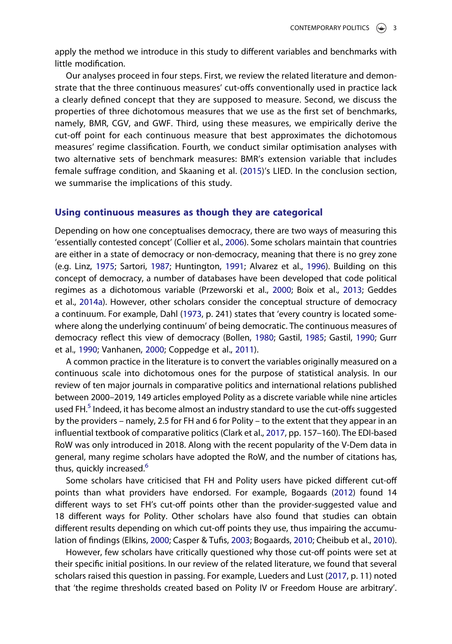apply the method we introduce in this study to different variables and benchmarks with little modification.

Our analyses proceed in four steps. First, we review the related literature and demonstrate that the three continuous measures' cut-offs conventionally used in practice lack a clearly defined concept that they are supposed to measure. Second, we discuss the properties of three dichotomous measures that we use as the first set of benchmarks, namely, BMR, CGV, and GWF. Third, using these measures, we empirically derive the cut-off point for each continuous measure that best approximates the dichotomous measures' regime classification. Fourth, we conduct similar optimisation analyses with two alternative sets of benchmark measures: BMR's extension variable that includes female suffrage condition, and Skaaning et al. (2015)'s LIED. In the conclusion section, we summarise the implications of this study.

#### Using continuous measures as though they are categorical

Depending on how one conceptualises democracy, there are two ways of measuring this 'essentially contested concept' (Collier et al., 2006). Some scholars maintain that countries are either in a state of democracy or non-democracy, meaning that there is no grey zone (e.g. Linz, 1975; Sartori, 1987; Huntington, 1991; Alvarez et al., 1996). Building on this concept of democracy, a number of databases have been developed that code political regimes as a dichotomous variable (Przeworski et al., 2000; Boix et al., 2013; Geddes et al., 2014a). However, other scholars consider the conceptual structure of democracy a continuum. For example, Dahl (1973, p. 241) states that 'every country is located somewhere along the underlying continuum' of being democratic. The continuous measures of democracy reflect this view of democracy (Bollen, 1980; Gastil, 1985; Gastil, 1990; Gurr et al., 1990; Vanhanen, 2000; Coppedge et al., 2011).

A common practice in the literature is to convert the variables originally measured on a continuous scale into dichotomous ones for the purpose of statistical analysis. In our review of ten major journals in comparative politics and international relations published between 2000–2019, 149 articles employed Polity as a discrete variable while nine articles used FH.<sup>5</sup> Indeed, it has become almost an industry standard to use the cut-offs suggested by the providers – namely, 2.5 for FH and 6 for Polity – to the extent that they appear in an influential textbook of comparative politics (Clark et al., 2017, pp. 157–160). The EDI-based RoW was only introduced in 2018. Along with the recent popularity of the V-Dem data in general, many regime scholars have adopted the RoW, and the number of citations has, thus, quickly increased.<sup>6</sup>

Some scholars have criticised that FH and Polity users have picked different cut-off points than what providers have endorsed. For example, Bogaards (2012) found 14 different ways to set FH's cut-off points other than the provider-suggested value and 18 different ways for Polity. Other scholars have also found that studies can obtain different results depending on which cut-off points they use, thus impairing the accumulation of findings (Elkins, 2000; Casper & Tufis, 2003; Bogaards, 2010; Cheibub et al., 2010).

However, few scholars have critically questioned why those cut-off points were set at their specific initial positions. In our review of the related literature, we found that several scholars raised this question in passing. For example, Lueders and Lust (2017, p. 11) noted that 'the regime thresholds created based on Polity IV or Freedom House are arbitrary'.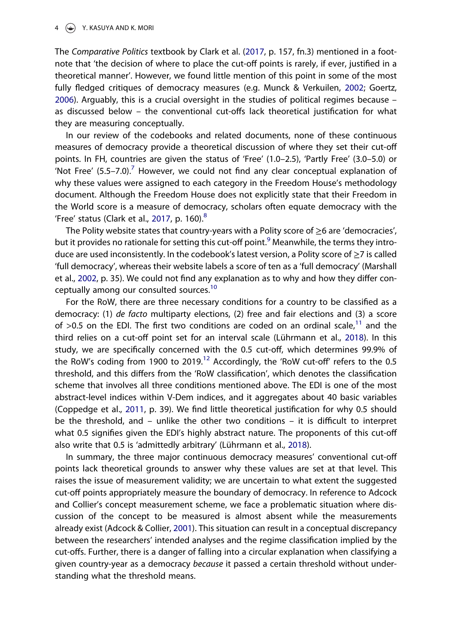#### 4 Y. KASUYA AND K. MORI

The Comparative Politics textbook by Clark et al. (2017, p. 157, fn.3) mentioned in a footnote that 'the decision of where to place the cut-off points is rarely, if ever, justified in a theoretical manner'. However, we found little mention of this point in some of the most fully fledged critiques of democracy measures (e.g. Munck & Verkuilen, 2002; Goertz, 2006). Arguably, this is a crucial oversight in the studies of political regimes because – as discussed below – the conventional cut-offs lack theoretical justification for what they are measuring conceptually.

In our review of the codebooks and related documents, none of these continuous measures of democracy provide a theoretical discussion of where they set their cut-off points. In FH, countries are given the status of 'Free' (1.0–2.5), 'Partly Free' (3.0–5.0) or 'Not Free'  $(5.5-7.0)$ .<sup>7</sup> However, we could not find any clear conceptual explanation of why these values were assigned to each category in the Freedom House's methodology document. Although the Freedom House does not explicitly state that their Freedom in the World score is a measure of democracy, scholars often equate democracy with the 'Free' status (Clark et al., 2017, p. 160). $8$ 

The Polity website states that country-years with a Polity score of  $\geq$ 6 are 'democracies', but it provides no rationale for setting this cut-off point.<sup>9</sup> Meanwhile, the terms they introduce are used inconsistently. In the codebook's latest version, a Polity score of ≥7 is called 'full democracy', whereas their website labels a score of ten as a 'full democracy' (Marshall et al., 2002, p. 35). We could not find any explanation as to why and how they differ conceptually among our consulted sources.<sup>10</sup>

For the RoW, there are three necessary conditions for a country to be classified as a democracy: (1) de facto multiparty elections, (2) free and fair elections and (3) a score of  $>0.5$  on the EDI. The first two conditions are coded on an ordinal scale,<sup>11</sup> and the third relies on a cut-off point set for an interval scale (Lührmann et al., 2018). In this study, we are specifically concerned with the 0.5 cut-off, which determines 99.9% of the RoW's coding from 1900 to 2019.<sup>12</sup> Accordingly, the 'RoW cut-off' refers to the 0.5 threshold, and this differs from the 'RoW classification', which denotes the classification scheme that involves all three conditions mentioned above. The EDI is one of the most abstract-level indices within V-Dem indices, and it aggregates about 40 basic variables (Coppedge et al., 2011, p. 39). We find little theoretical justification for why 0.5 should be the threshold, and – unlike the other two conditions – it is difficult to interpret what 0.5 signifies given the EDI's highly abstract nature. The proponents of this cut-off also write that 0.5 is 'admittedly arbitrary' (Lührmann et al., 2018).

In summary, the three major continuous democracy measures' conventional cut-off points lack theoretical grounds to answer why these values are set at that level. This raises the issue of measurement validity; we are uncertain to what extent the suggested cut-off points appropriately measure the boundary of democracy. In reference to Adcock and Collier's concept measurement scheme, we face a problematic situation where discussion of the concept to be measured is almost absent while the measurements already exist (Adcock & Collier, 2001). This situation can result in a conceptual discrepancy between the researchers' intended analyses and the regime classification implied by the cut-offs. Further, there is a danger of falling into a circular explanation when classifying a given country-year as a democracy because it passed a certain threshold without understanding what the threshold means.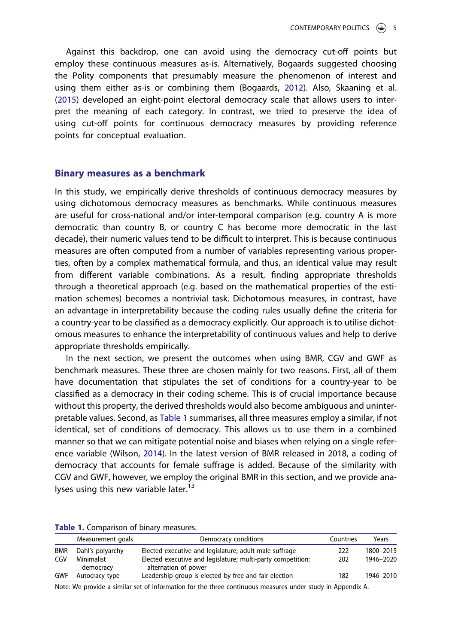Against this backdrop, one can avoid using the democracy cut-off points but employ these continuous measures as-is. Alternatively, Bogaards suggested choosing the Polity components that presumably measure the phenomenon of interest and using them either as-is or combining them (Bogaards, 2012). Also, Skaaning et al. (2015) developed an eight-point electoral democracy scale that allows users to interpret the meaning of each category. In contrast, we tried to preserve the idea of using cut-off points for continuous democracy measures by providing reference points for conceptual evaluation.

#### Binary measures as a benchmark

In this study, we empirically derive thresholds of continuous democracy measures by using dichotomous democracy measures as benchmarks. While continuous measures are useful for cross-national and/or inter-temporal comparison (e.g. country A is more democratic than country B, or country C has become more democratic in the last decade), their numeric values tend to be difficult to interpret. This is because continuous measures are often computed from a number of variables representing various properties, often by a complex mathematical formula, and thus, an identical value may result from different variable combinations. As a result, finding appropriate thresholds through a theoretical approach (e.g. based on the mathematical properties of the estimation schemes) becomes a nontrivial task. Dichotomous measures, in contrast, have an advantage in interpretability because the coding rules usually define the criteria for a country-year to be classified as a democracy explicitly. Our approach is to utilise dichotomous measures to enhance the interpretability of continuous values and help to derive appropriate thresholds empirically.

In the next section, we present the outcomes when using BMR, CGV and GWF as benchmark measures. These three are chosen mainly for two reasons. First, all of them have documentation that stipulates the set of conditions for a country-year to be classified as a democracy in their coding scheme. This is of crucial importance because without this property, the derived thresholds would also become ambiguous and uninterpretable values. Second, as Table 1 summarises, all three measures employ a similar, if not identical, set of conditions of democracy. This allows us to use them in a combined manner so that we can mitigate potential noise and biases when relying on a single reference variable (Wilson, 2014). In the latest version of BMR released in 2018, a coding of democracy that accounts for female suffrage is added. Because of the similarity with CGV and GWF, however, we employ the original BMR in this section, and we provide analyses using this new variable later. $13$ 

Table 1. Comparison of binary measures.

|            | Measurement goals       | Democracy conditions                                                                | Countries | Years     |
|------------|-------------------------|-------------------------------------------------------------------------------------|-----------|-----------|
| <b>BMR</b> | Dahl's polyarchy        | Elected executive and legislature; adult male suffrage                              | 222       | 1800-2015 |
| CGV        | Minimalist<br>democracy | Elected executive and legislature; multi-party competition;<br>alternation of power | 202       | 1946-2020 |
| <b>GWF</b> | Autocracy type          | Leadership group is elected by free and fair election                               | 182       | 1946-2010 |

Note: We provide a similar set of information for the three continuous measures under study in Appendix A.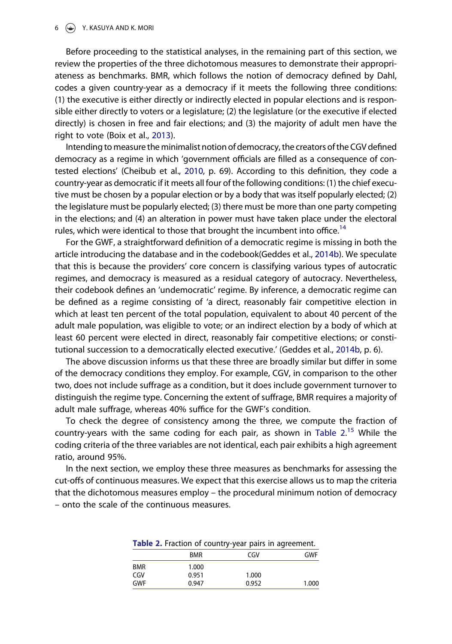#### $6 \quad \Leftrightarrow \quad Y.$  KASUYA AND K. MORI

Before proceeding to the statistical analyses, in the remaining part of this section, we review the properties of the three dichotomous measures to demonstrate their appropriateness as benchmarks. BMR, which follows the notion of democracy defined by Dahl, codes a given country-year as a democracy if it meets the following three conditions: (1) the executive is either directly or indirectly elected in popular elections and is responsible either directly to voters or a legislature; (2) the legislature (or the executive if elected directly) is chosen in free and fair elections; and (3) the majority of adult men have the right to vote (Boix et al., 2013).

Intending to measure the minimalist notion of democracy, the creators of the CGV defined democracy as a regime in which 'government officials are filled as a consequence of contested elections' (Cheibub et al., 2010, p. 69). According to this definition, they code a country-year as democratic if it meets all four of the following conditions: (1) the chief executive must be chosen by a popular election or by a body that was itself popularly elected; (2) the legislature must be popularly elected; (3) there must be more than one party competing in the elections; and (4) an alteration in power must have taken place under the electoral rules, which were identical to those that brought the incumbent into office.<sup>14</sup>

For the GWF, a straightforward definition of a democratic regime is missing in both the article introducing the database and in the codebook(Geddes et al., 2014b). We speculate that this is because the providers' core concern is classifying various types of autocratic regimes, and democracy is measured as a residual category of autocracy. Nevertheless, their codebook defines an 'undemocratic' regime. By inference, a democratic regime can be defined as a regime consisting of 'a direct, reasonably fair competitive election in which at least ten percent of the total population, equivalent to about 40 percent of the adult male population, was eligible to vote; or an indirect election by a body of which at least 60 percent were elected in direct, reasonably fair competitive elections; or constitutional succession to a democratically elected executive.' (Geddes et al., 2014b, p. 6).

The above discussion informs us that these three are broadly similar but differ in some of the democracy conditions they employ. For example, CGV, in comparison to the other two, does not include suffrage as a condition, but it does include government turnover to distinguish the regime type. Concerning the extent of suffrage, BMR requires a majority of adult male suffrage, whereas 40% suffice for the GWF's condition.

To check the degree of consistency among the three, we compute the fraction of country-years with the same coding for each pair, as shown in Table 2.<sup>15</sup> While the coding criteria of the three variables are not identical, each pair exhibits a high agreement ratio, around 95%.

In the next section, we employ these three measures as benchmarks for assessing the cut-offs of continuous measures. We expect that this exercise allows us to map the criteria that the dichotomous measures employ – the procedural minimum notion of democracy – onto the scale of the continuous measures.

| Table 2. Fraction of country-year pairs in agreement. |            |       |       |  |  |  |  |
|-------------------------------------------------------|------------|-------|-------|--|--|--|--|
|                                                       | <b>BMR</b> | CGV   | GWF   |  |  |  |  |
| <b>BMR</b>                                            | 1.000      |       |       |  |  |  |  |
| CGV                                                   | 0.951      | 1.000 |       |  |  |  |  |
| <b>GWF</b>                                            | 0.947      | 0.952 | 1.000 |  |  |  |  |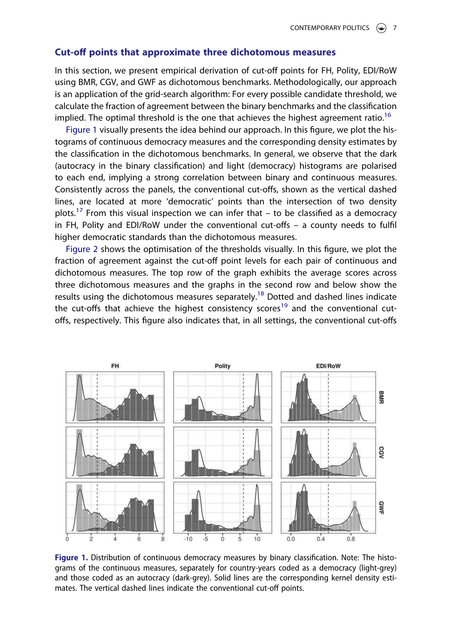#### Cut-off points that approximate three dichotomous measures

In this section, we present empirical derivation of cut-off points for FH, Polity, EDI/RoW using BMR, CGV, and GWF as dichotomous benchmarks. Methodologically, our approach is an application of the grid-search algorithm: For every possible candidate threshold, we calculate the fraction of agreement between the binary benchmarks and the classification implied. The optimal threshold is the one that achieves the highest agreement ratio.<sup>16</sup>

Figure 1 visually presents the idea behind our approach. In this figure, we plot the histograms of continuous democracy measures and the corresponding density estimates by the classification in the dichotomous benchmarks. In general, we observe that the dark (autocracy in the binary classification) and light (democracy) histograms are polarised to each end, implying a strong correlation between binary and continuous measures. Consistently across the panels, the conventional cut-offs, shown as the vertical dashed lines, are located at more 'democratic' points than the intersection of two density plots.<sup>17</sup> From this visual inspection we can infer that  $-$  to be classified as a democracy in FH, Polity and EDI/RoW under the conventional cut-offs – a county needs to fulfil higher democratic standards than the dichotomous measures.

Figure 2 shows the optimisation of the thresholds visually. In this figure, we plot the fraction of agreement against the cut-off point levels for each pair of continuous and dichotomous measures. The top row of the graph exhibits the average scores across three dichotomous measures and the graphs in the second row and below show the results using the dichotomous measures separately.<sup>18</sup> Dotted and dashed lines indicate the cut-offs that achieve the highest consistency scores<sup>19</sup> and the conventional cutoffs, respectively. This figure also indicates that, in all settings, the conventional cut-offs



Figure 1. Distribution of continuous democracy measures by binary classification. Note: The histograms of the continuous measures, separately for country-years coded as a democracy (light-grey) and those coded as an autocracy (dark-grey). Solid lines are the corresponding kernel density estimates. The vertical dashed lines indicate the conventional cut-off points.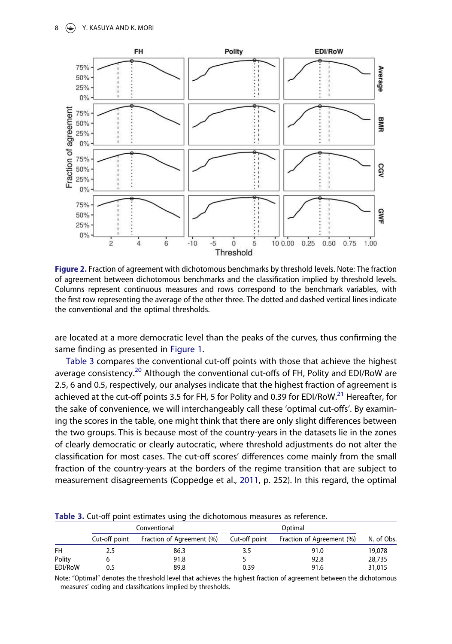

Figure 2. Fraction of agreement with dichotomous benchmarks by threshold levels. Note: The fraction of agreement between dichotomous benchmarks and the classification implied by threshold levels. Columns represent continuous measures and rows correspond to the benchmark variables, with the first row representing the average of the other three. The dotted and dashed vertical lines indicate the conventional and the optimal thresholds.

are located at a more democratic level than the peaks of the curves, thus confirming the same finding as presented in Figure 1.

Table 3 compares the conventional cut-off points with those that achieve the highest average consistency.<sup>20</sup> Although the conventional cut-offs of FH, Polity and EDI/RoW are 2.5, 6 and 0.5, respectively, our analyses indicate that the highest fraction of agreement is achieved at the cut-off points 3.5 for FH, 5 for Polity and 0.39 for EDI/RoW.<sup>21</sup> Hereafter, for the sake of convenience, we will interchangeably call these 'optimal cut-offs'. By examining the scores in the table, one might think that there are only slight differences between the two groups. This is because most of the country-years in the datasets lie in the zones of clearly democratic or clearly autocratic, where threshold adjustments do not alter the classification for most cases. The cut-off scores' differences come mainly from the small fraction of the country-years at the borders of the regime transition that are subject to measurement disagreements (Coppedge et al., 2011, p. 252). In this regard, the optimal

| Table 3. Cut-off point estimates using the dichotomous measures as reference. |  |                    |
|-------------------------------------------------------------------------------|--|--------------------|
| Conventional                                                                  |  | O <sub>ntima</sub> |

|           |               | Conventional              |               |                           |            |
|-----------|---------------|---------------------------|---------------|---------------------------|------------|
|           | Cut-off point | Fraction of Agreement (%) | Cut-off point | Fraction of Agreement (%) | N. of Obs. |
| <b>FH</b> | 2.5           | 86.3                      | 3.5           | 91.0                      | 19,078     |
| Polity    |               | 91.8                      |               | 92.8                      | 28,735     |
| EDI/RoW   | 0.5           | 89.8                      | 0.39          | 91.6                      | 31,015     |

Note: "Optimal" denotes the threshold level that achieves the highest fraction of agreement between the dichotomous measures' coding and classifications implied by thresholds.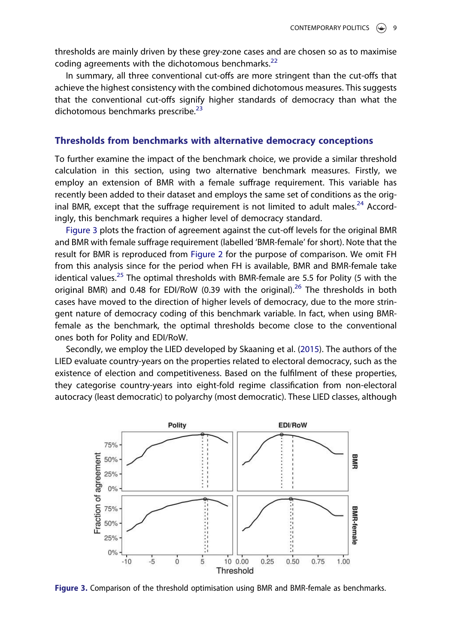thresholds are mainly driven by these grey-zone cases and are chosen so as to maximise coding agreements with the dichotomous benchmarks. $^{22}$ 

In summary, all three conventional cut-offs are more stringent than the cut-offs that achieve the highest consistency with the combined dichotomous measures. This suggests that the conventional cut-offs signify higher standards of democracy than what the dichotomous benchmarks prescribe.<sup>23</sup>

#### Thresholds from benchmarks with alternative democracy conceptions

To further examine the impact of the benchmark choice, we provide a similar threshold calculation in this section, using two alternative benchmark measures. Firstly, we employ an extension of BMR with a female suffrage requirement. This variable has recently been added to their dataset and employs the same set of conditions as the original BMR, except that the suffrage requirement is not limited to adult males. $^{24}$  Accordingly, this benchmark requires a higher level of democracy standard.

Figure 3 plots the fraction of agreement against the cut-off levels for the original BMR and BMR with female suffrage requirement (labelled 'BMR-female' for short). Note that the result for BMR is reproduced from Figure 2 for the purpose of comparison. We omit FH from this analysis since for the period when FH is available, BMR and BMR-female take identical values.<sup>25</sup> The optimal thresholds with BMR-female are 5.5 for Polity (5 with the original BMR) and 0.48 for EDI/RoW (0.39 with the original).<sup>26</sup> The thresholds in both cases have moved to the direction of higher levels of democracy, due to the more stringent nature of democracy coding of this benchmark variable. In fact, when using BMRfemale as the benchmark, the optimal thresholds become close to the conventional ones both for Polity and EDI/RoW.

Secondly, we employ the LIED developed by Skaaning et al. (2015). The authors of the LIED evaluate country-years on the properties related to electoral democracy, such as the existence of election and competitiveness. Based on the fulfilment of these properties, they categorise country-years into eight-fold regime classification from non-electoral autocracy (least democratic) to polyarchy (most democratic). These LIED classes, although



Figure 3. Comparison of the threshold optimisation using BMR and BMR-female as benchmarks.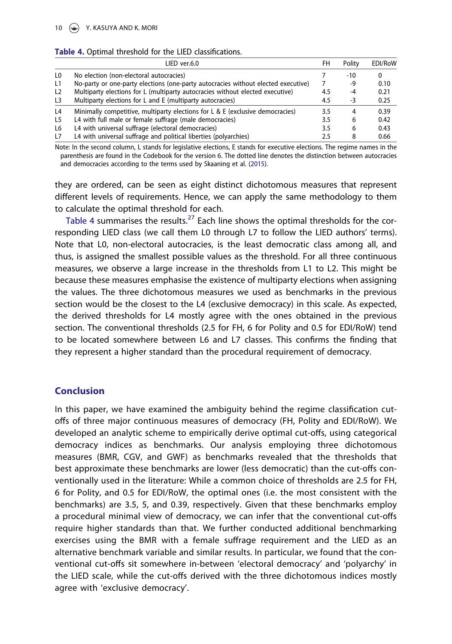|  |  |                      | Table 4. Optimal threshold for the LIED classifications. |
|--|--|----------------------|----------------------------------------------------------|
|  |  | $IIFD \text{,} IIRD$ |                                                          |

|                | LIED ver.6.0                                                                      | FH  | Polity | EDI/RoW |
|----------------|-----------------------------------------------------------------------------------|-----|--------|---------|
| L <sub>0</sub> | No election (non-electoral autocracies)                                           |     | -10    |         |
| L1             | No-party or one-party elections (one-party autocracies without elected executive) |     | -9     | 0.10    |
| L <sub>2</sub> | Multiparty elections for L (multiparty autocracies without elected executive)     | 4.5 | -4     | 0.21    |
| L <sub>3</sub> | Multiparty elections for L and E (multiparty autocracies)                         | 4.5 | -3     | 0.25    |
| L <sub>4</sub> | Minimally competitive, multiparty elections for L & E (exclusive democracies)     | 3.5 | 4      | 0.39    |
| L <sub>5</sub> | L4 with full male or female suffrage (male democracies)                           | 3.5 | 6      | 0.42    |
| L6             | L4 with universal suffrage (electoral democracies)                                | 3.5 | 6      | 0.43    |
| L7             | L4 with universal suffrage and political liberties (polyarchies)                  | 2.5 | 8      | 0.66    |

Note: In the second column, L stands for legislative elections, E stands for executive elections. The regime names in the parenthesis are found in the Codebook for the version 6. The dotted line denotes the distinction between autocracies and democracies according to the terms used by Skaaning et al. (2015).

they are ordered, can be seen as eight distinct dichotomous measures that represent different levels of requirements. Hence, we can apply the same methodology to them to calculate the optimal threshold for each.

Table 4 summarises the results.<sup>27</sup> Each line shows the optimal thresholds for the corresponding LIED class (we call them L0 through L7 to follow the LIED authors' terms). Note that L0, non-electoral autocracies, is the least democratic class among all, and thus, is assigned the smallest possible values as the threshold. For all three continuous measures, we observe a large increase in the thresholds from L1 to L2. This might be because these measures emphasise the existence of multiparty elections when assigning the values. The three dichotomous measures we used as benchmarks in the previous section would be the closest to the L4 (exclusive democracy) in this scale. As expected, the derived thresholds for L4 mostly agree with the ones obtained in the previous section. The conventional thresholds (2.5 for FH, 6 for Polity and 0.5 for EDI/RoW) tend to be located somewhere between L6 and L7 classes. This confirms the finding that they represent a higher standard than the procedural requirement of democracy.

#### Conclusion

In this paper, we have examined the ambiguity behind the regime classification cutoffs of three major continuous measures of democracy (FH, Polity and EDI/RoW). We developed an analytic scheme to empirically derive optimal cut-offs, using categorical democracy indices as benchmarks. Our analysis employing three dichotomous measures (BMR, CGV, and GWF) as benchmarks revealed that the thresholds that best approximate these benchmarks are lower (less democratic) than the cut-offs conventionally used in the literature: While a common choice of thresholds are 2.5 for FH, 6 for Polity, and 0.5 for EDI/RoW, the optimal ones (i.e. the most consistent with the benchmarks) are 3.5, 5, and 0.39, respectively. Given that these benchmarks employ a procedural minimal view of democracy, we can infer that the conventional cut-offs require higher standards than that. We further conducted additional benchmarking exercises using the BMR with a female suffrage requirement and the LIED as an alternative benchmark variable and similar results. In particular, we found that the conventional cut-offs sit somewhere in-between 'electoral democracy' and 'polyarchy' in the LIED scale, while the cut-offs derived with the three dichotomous indices mostly agree with 'exclusive democracy'.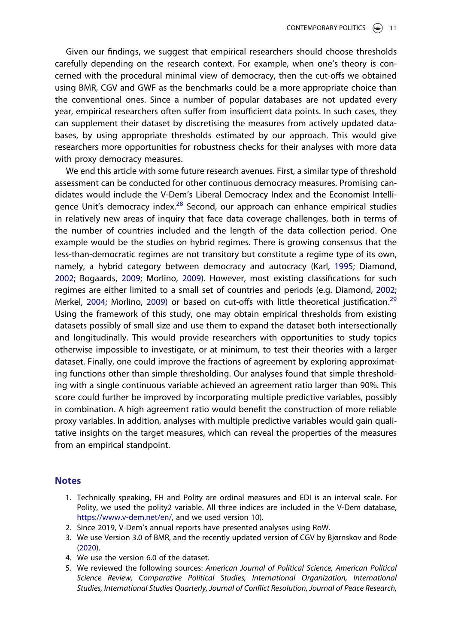Given our findings, we suggest that empirical researchers should choose thresholds carefully depending on the research context. For example, when one's theory is concerned with the procedural minimal view of democracy, then the cut-offs we obtained using BMR, CGV and GWF as the benchmarks could be a more appropriate choice than the conventional ones. Since a number of popular databases are not updated every year, empirical researchers often suffer from insufficient data points. In such cases, they can supplement their dataset by discretising the measures from actively updated databases, by using appropriate thresholds estimated by our approach. This would give researchers more opportunities for robustness checks for their analyses with more data with proxy democracy measures.

We end this article with some future research avenues. First, a similar type of threshold assessment can be conducted for other continuous democracy measures. Promising candidates would include the V-Dem's Liberal Democracy Index and the Economist Intelligence Unit's democracy index.<sup>28</sup> Second, our approach can enhance empirical studies in relatively new areas of inquiry that face data coverage challenges, both in terms of the number of countries included and the length of the data collection period. One example would be the studies on hybrid regimes. There is growing consensus that the less-than-democratic regimes are not transitory but constitute a regime type of its own, namely, a hybrid category between democracy and autocracy (Karl, 1995; Diamond, 2002; Bogaards, 2009; Morlino, 2009). However, most existing classifications for such regimes are either limited to a small set of countries and periods (e.g. Diamond, 2002; Merkel, 2004; Morlino, 2009) or based on cut-offs with little theoretical justification.<sup>29</sup> Using the framework of this study, one may obtain empirical thresholds from existing datasets possibly of small size and use them to expand the dataset both intersectionally and longitudinally. This would provide researchers with opportunities to study topics otherwise impossible to investigate, or at minimum, to test their theories with a larger dataset. Finally, one could improve the fractions of agreement by exploring approximating functions other than simple thresholding. Our analyses found that simple thresholding with a single continuous variable achieved an agreement ratio larger than 90%. This score could further be improved by incorporating multiple predictive variables, possibly in combination. A high agreement ratio would benefit the construction of more reliable proxy variables. In addition, analyses with multiple predictive variables would gain qualitative insights on the target measures, which can reveal the properties of the measures from an empirical standpoint.

#### **Notes**

- 1. Technically speaking, FH and Polity are ordinal measures and EDI is an interval scale. For Polity, we used the polity2 variable. All three indices are included in the V-Dem database, https://www.v-dem.net/en/, and we used version 10).
- 2. Since 2019, V-Dem's annual reports have presented analyses using RoW.
- 3. We use Version 3.0 of BMR, and the recently updated version of CGV by Bjørnskov and Rode (2020).
- 4. We use the version 6.0 of the dataset.
- 5. We reviewed the following sources: American Journal of Political Science, American Political Science Review, Comparative Political Studies, International Organization, International Studies, International Studies Quarterly, Journal of Conflict Resolution, Journal of Peace Research,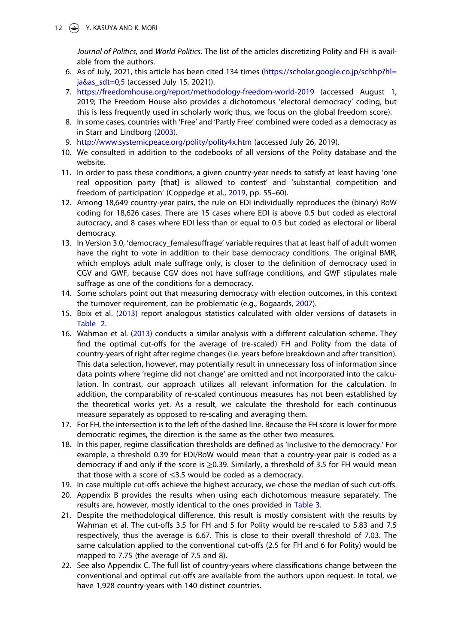12  $\circledast$  Y. KASUYA AND K. MORI

Journal of Politics, and World Politics. The list of the articles discretizing Polity and FH is available from the authors.

- 6. As of July, 2021, this article has been cited 134 times (https://scholar.google.co.jp/schhp?hl= ja&as\_sdt=0,5 (accessed July 15, 2021)).
- 7. https://freedomhouse.org/report/methodology-freedom-world-2019 (accessed August 1, 2019; The Freedom House also provides a dichotomous 'electoral democracy' coding, but this is less frequently used in scholarly work; thus, we focus on the global freedom score).
- 8. In some cases, countries with 'Free' and 'Partly Free' combined were coded as a democracy as in Starr and Lindborg (2003).
- 9. http://www.systemicpeace.org/polity/polity4x.htm (accessed July 26, 2019).
- 10. We consulted in addition to the codebooks of all versions of the Polity database and the website.
- 11. In order to pass these conditions, a given country-year needs to satisfy at least having 'one real opposition party [that] is allowed to contest' and 'substantial competition and freedom of participation' (Coppedge et al., 2019, pp. 55–60).
- 12. Among 18,649 country-year pairs, the rule on EDI individually reproduces the (binary) RoW coding for 18,626 cases. There are 15 cases where EDI is above 0.5 but coded as electoral autocracy, and 8 cases where EDI less than or equal to 0.5 but coded as electoral or liberal democracy.
- 13. In Version 3.0, 'democracy\_femalesuffrage' variable requires that at least half of adult women have the right to vote in addition to their base democracy conditions. The original BMR, which employs adult male suffrage only, is closer to the definition of democracy used in CGV and GWF, because CGV does not have suffrage conditions, and GWF stipulates male suffrage as one of the conditions for a democracy.
- 14. Some scholars point out that measuring democracy with election outcomes, in this context the turnover requirement, can be problematic (e.g., Bogaards, 2007).
- 15. Boix et al. (2013) report analogous statistics calculated with older versions of datasets in Table 2.
- 16. Wahman et al. (2013) conducts a similar analysis with a different calculation scheme. They find the optimal cut-offs for the average of (re-scaled) FH and Polity from the data of country-years of right after regime changes (i.e. years before breakdown and after transition). This data selection, however, may potentially result in unnecessary loss of information since data points where 'regime did not change' are omitted and not incorporated into the calculation. In contrast, our approach utilizes all relevant information for the calculation. In addition, the comparability of re-scaled continuous measures has not been established by the theoretical works yet. As a result, we calculate the threshold for each continuous measure separately as opposed to re-scaling and averaging them.
- 17. For FH, the intersection is to the left of the dashed line. Because the FH score is lower for more democratic regimes, the direction is the same as the other two measures.
- 18. In this paper, regime classification thresholds are defined as 'inclusive to the democracy.' For example, a threshold 0.39 for EDI/RoW would mean that a country-year pair is coded as a democracy if and only if the score is ≥0.39. Similarly, a threshold of 3.5 for FH would mean that those with a score of  $\leq$ 3.5 would be coded as a democracy.
- 19. In case multiple cut-offs achieve the highest accuracy, we chose the median of such cut-offs.
- 20. Appendix B provides the results when using each dichotomous measure separately. The results are, however, mostly identical to the ones provided in Table 3.
- 21. Despite the methodological difference, this result is mostly consistent with the results by Wahman et al. The cut-offs 3.5 for FH and 5 for Polity would be re-scaled to 5.83 and 7.5 respectively, thus the average is 6.67. This is close to their overall threshold of 7.03. The same calculation applied to the conventional cut-offs (2.5 for FH and 6 for Polity) would be mapped to 7.75 (the average of 7.5 and 8).
- 22. See also Appendix C. The full list of country-years where classifications change between the conventional and optimal cut-offs are available from the authors upon request. In total, we have 1,928 country-years with 140 distinct countries.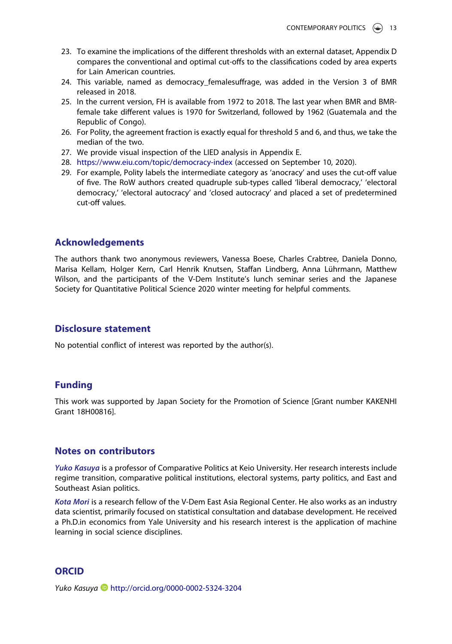- 23. To examine the implications of the different thresholds with an external dataset, Appendix D compares the conventional and optimal cut-offs to the classifications coded by area experts for Lain American countries.
- 24. This variable, named as democracy femalesuffrage, was added in the Version 3 of BMR released in 2018.
- 25. In the current version, FH is available from 1972 to 2018. The last year when BMR and BMRfemale take different values is 1970 for Switzerland, followed by 1962 (Guatemala and the Republic of Congo).
- 26. For Polity, the agreement fraction is exactly equal for threshold 5 and 6, and thus, we take the median of the two.
- 27. We provide visual inspection of the LIED analysis in Appendix E.
- 28. https://www.eiu.com/topic/democracy-index (accessed on September 10, 2020).
- 29. For example, Polity labels the intermediate category as 'anocracy' and uses the cut-off value of five. The RoW authors created quadruple sub-types called 'liberal democracy,' 'electoral democracy,' 'electoral autocracy' and 'closed autocracy' and placed a set of predetermined cut-off values.

#### Acknowledgements

The authors thank two anonymous reviewers, Vanessa Boese, Charles Crabtree, Daniela Donno, Marisa Kellam, Holger Kern, Carl Henrik Knutsen, Staffan Lindberg, Anna Lührmann, Matthew Wilson, and the participants of the V-Dem Institute's lunch seminar series and the Japanese Society for Quantitative Political Science 2020 winter meeting for helpful comments.

#### Disclosure statement

No potential conflict of interest was reported by the author(s).

#### Funding

This work was supported by Japan Society for the Promotion of Science [Grant number KAKENHI Grant 18H00816].

#### Notes on contributors

Yuko Kasuya is a professor of Comparative Politics at Keio University. Her research interests include regime transition, comparative political institutions, electoral systems, party politics, and East and Southeast Asian politics.

Kota Mori is a research fellow of the V-Dem East Asia Regional Center. He also works as an industry data scientist, primarily focused on statistical consultation and database development. He received a Ph.D.in economics from Yale University and his research interest is the application of machine learning in social science disciplines.

#### **ORCID**

Yuko Kasuya D http://orcid.org/0000-0002-5324-3204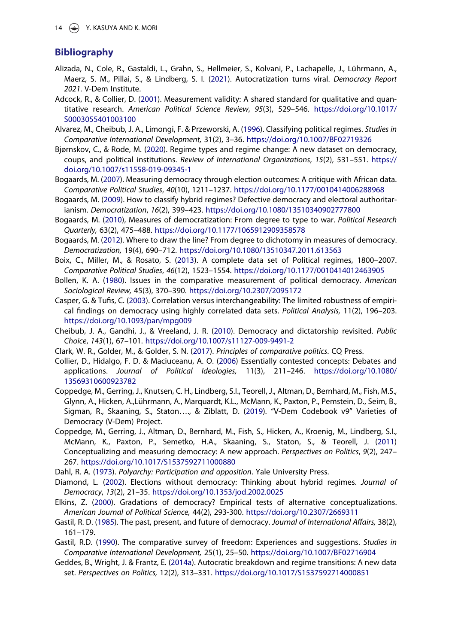### Bibliography

- Alizada, N., Cole, R., Gastaldi, L., Grahn, S., Hellmeier, S., Kolvani, P., Lachapelle, J., Lührmann, A., Maerz, S. M., Pillai, S., & Lindberg, S. I. (2021). Autocratization turns viral. Democracy Report 2021. V-Dem Institute.
- Adcock, R., & Collier, D. (2001). Measurement validity: A shared standard for qualitative and quantitative research. American Political Science Review, 95(3), 529–546. https://doi.org/10.1017/ S0003055401003100
- Alvarez, M., Cheibub, J. A., Limongi, F. & Przeworski, A. (1996). Classifying political regimes. Studies in Comparative International Development, 31(2), 3–36. https://doi.org/10.1007/BF02719326
- Bjørnskov, C., & Rode, M. (2020). Regime types and regime change: A new dataset on democracy, coups, and political institutions. Review of International Organizations, 15(2), 531–551. https:// doi.org/10.1007/s11558-019-09345-1
- Bogaards, M. (2007). Measuring democracy through election outcomes: A critique with African data. Comparative Political Studies, 40(10), 1211–1237. https://doi.org/10.1177/0010414006288968
- Bogaards, M. (2009). How to classify hybrid regimes? Defective democracy and electoral authoritarianism. Democratization, 16(2), 399–423. https://doi.org/10.1080/13510340902777800
- Bogaards, M. (2010), Measures of democratization: From degree to type to war. Political Research Quarterly, 63(2), 475–488. https://doi.org/10.1177/1065912909358578
- Bogaards, M. (2012). Where to draw the line? From degree to dichotomy in measures of democracy. Democratization, 19(4), 690–712. https://doi.org/10.1080/13510347.2011.613563
- Boix, C., Miller, M., & Rosato, S. (2013). A complete data set of Political regimes, 1800–2007. Comparative Political Studies, 46(12), 1523–1554. https://doi.org/10.1177/0010414012463905
- Bollen, K. A. (1980). Issues in the comparative measurement of political democracy. American Sociological Review, 45(3), 370–390. https://doi.org/10.2307/2095172
- Casper, G. & Tufis, C. (2003). Correlation versus interchangeability: The limited robustness of empirical findings on democracy using highly correlated data sets. Political Analysis, 11(2), 196–203. https://doi.org/10.1093/pan/mpg009
- Cheibub, J. A., Gandhi, J., & Vreeland, J. R. (2010). Democracy and dictatorship revisited. Public Choice, 143(1), 67–101. https://doi.org/10.1007/s11127-009-9491-2
- Clark, W. R., Golder, M., & Golder, S. N. (2017). Principles of comparative politics. CQ Press.
- Collier, D., Hidalgo, F. D. & Maciuceanu, A. O. (2006) Essentially contested concepts: Debates and applications. Journal of Political Ideologies, 11(3), 211–246. https://doi.org/10.1080/ 13569310600923782
- Coppedge, M., Gerring, J., Knutsen, C. H., Lindberg, S.I., Teorell, J., Altman, D., Bernhard, M., Fish, M.S., Glynn, A., Hicken, A.,Lührmann, A., Marquardt, K.L., McMann, K., Paxton, P., Pemstein, D., Seim, B., Sigman, R., Skaaning, S., Staton…., & Ziblatt, D. (2019). "V-Dem Codebook v9" Varieties of Democracy (V-Dem) Project.
- Coppedge, M., Gerring, J., Altman, D., Bernhard, M., Fish, S., Hicken, A., Kroenig, M., Lindberg, S.I., McMann, K., Paxton, P., Semetko, H.A., Skaaning, S., Staton, S., & Teorell, J. (2011) Conceptualizing and measuring democracy: A new approach. Perspectives on Politics, 9(2), 247– 267. https://doi.org/10.1017/S1537592711000880
- Dahl, R. A. (1973). Polyarchy: Participation and opposition. Yale University Press.
- Diamond, L. (2002). Elections without democracy: Thinking about hybrid regimes. Journal of Democracy, 13(2), 21–35. https://doi.org/10.1353/jod.2002.0025
- Elkins, Z. (2000). Gradations of democracy? Empirical tests of alternative conceptualizations. American Journal of Political Science, 44(2), 293-300. https://doi.org/10.2307/2669311
- Gastil, R. D. (1985). The past, present, and future of democracy. Journal of International Affairs, 38(2), 161–179.
- Gastil, R.D. (1990). The comparative survey of freedom: Experiences and suggestions. Studies in Comparative International Development, 25(1), 25–50. https://doi.org/10.1007/BF02716904
- Geddes, B., Wright, J. & Frantz, E. (2014a). Autocratic breakdown and regime transitions: A new data set. Perspectives on Politics, 12(2), 313–331. https://doi.org/10.1017/S1537592714000851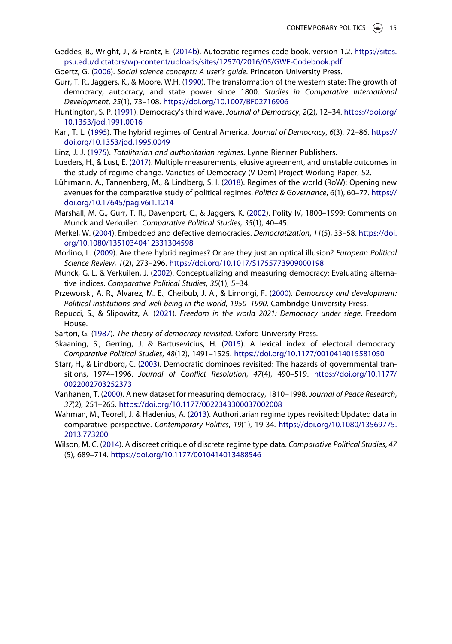- Geddes, B., Wright, J., & Frantz, E. (2014b). Autocratic regimes code book, version 1.2. https://sites. psu.edu/dictators/wp-content/uploads/sites/12570/2016/05/GWF-Codebook.pdf
- Goertz, G. (2006). Social science concepts: A user's guide. Princeton University Press.
- Gurr, T. R., Jaggers, K., & Moore, W.H. (1990). The transformation of the western state: The growth of democracy, autocracy, and state power since 1800. Studies in Comparative International Development, 25(1), 73–108. https://doi.org/10.1007/BF02716906
- Huntington, S. P. (1991). Democracy's third wave. Journal of Democracy, 2(2), 12–34. https://doi.org/ 10.1353/jod.1991.0016
- Karl, T. L. (1995). The hybrid regimes of Central America. Journal of Democracy, 6(3), 72–86. https:// doi.org/10.1353/jod.1995.0049
- Linz, J. J. (1975). Totalitarian and authoritarian regimes. Lynne Rienner Publishers.
- Lueders, H., & Lust, E. (2017). Multiple measurements, elusive agreement, and unstable outcomes in the study of regime change. Varieties of Democracy (V-Dem) Project Working Paper, 52.
- Lührmann, A., Tannenberg, M., & Lindberg, S. I. (2018). Regimes of the world (RoW): Opening new avenues for the comparative study of political regimes. Politics & Governance, 6(1), 60–77. https:// doi.org/10.17645/pag.v6i1.1214
- Marshall, M. G., Gurr, T. R., Davenport, C., & Jaggers, K. (2002). Polity IV, 1800–1999: Comments on Munck and Verkuilen. Comparative Political Studies, 35(1), 40–45.
- Merkel, W. (2004). Embedded and defective democracies. Democratization, 11(5), 33–58. https://doi. org/10.1080/13510340412331304598
- Morlino, L. (2009). Are there hybrid regimes? Or are they just an optical illusion? European Political Science Review, 1(2), 273–296. https://doi.org/10.1017/S1755773909000198
- Munck, G. L. & Verkuilen, J. (2002). Conceptualizing and measuring democracy: Evaluating alternative indices. Comparative Political Studies, 35(1), 5–34.
- Przeworski, A. R., Alvarez, M. E., Cheibub, J. A., & Limongi, F. (2000). Democracy and development: Political institutions and well-being in the world, 1950–1990. Cambridge University Press.
- Repucci, S., & Slipowitz, A. (2021). Freedom in the world 2021: Democracy under siege. Freedom House.
- Sartori, G. (1987). The theory of democracy revisited. Oxford University Press.
- Skaaning, S., Gerring, J. & Bartusevicius, H. (2015). A lexical index of electoral democracy. Comparative Political Studies, 48(12), 1491–1525. https://doi.org/10.1177/0010414015581050
- Starr, H., & Lindborg, C. (2003). Democratic dominoes revisited: The hazards of governmental transitions, 1974–1996. Journal of Conflict Resolution, 47(4), 490–519. https://doi.org/10.1177/ 0022002703252373
- Vanhanen, T. (2000). A new dataset for measuring democracy, 1810–1998. Journal of Peace Research, 37(2), 251–265. https://doi.org/10.1177/0022343300037002008
- Wahman, M., Teorell, J. & Hadenius, A. (2013). Authoritarian regime types revisited: Updated data in comparative perspective. Contemporary Politics, 19(1), 19-34. https://doi.org/10.1080/13569775. 2013.773200
- Wilson, M. C. (2014). A discreet critique of discrete regime type data. Comparative Political Studies, 47 (5), 689–714. https://doi.org/10.1177/0010414013488546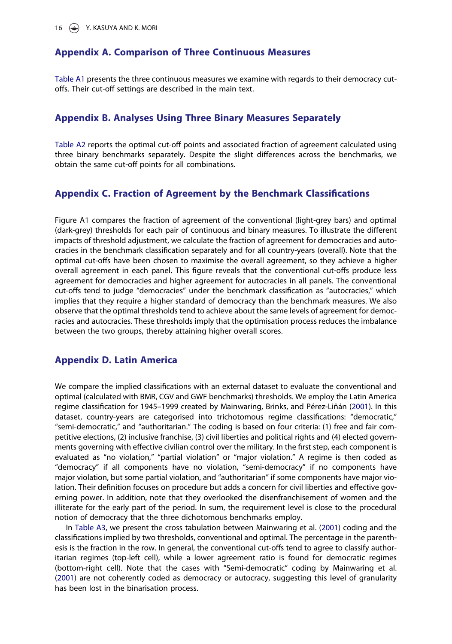#### Appendix A. Comparison of Three Continuous Measures

Table A1 presents the three continuous measures we examine with regards to their democracy cutoffs. Their cut-off settings are described in the main text.

#### Appendix B. Analyses Using Three Binary Measures Separately

Table A2 reports the optimal cut-off points and associated fraction of agreement calculated using three binary benchmarks separately. Despite the slight differences across the benchmarks, we obtain the same cut-off points for all combinations.

#### Appendix C. Fraction of Agreement by the Benchmark Classifications

Figure A1 compares the fraction of agreement of the conventional (light-grey bars) and optimal (dark-grey) thresholds for each pair of continuous and binary measures. To illustrate the different impacts of threshold adjustment, we calculate the fraction of agreement for democracies and autocracies in the benchmark classification separately and for all country-years (overall). Note that the optimal cut-offs have been chosen to maximise the overall agreement, so they achieve a higher overall agreement in each panel. This figure reveals that the conventional cut-offs produce less agreement for democracies and higher agreement for autocracies in all panels. The conventional cut-offs tend to judge "democracies" under the benchmark classification as "autocracies," which implies that they require a higher standard of democracy than the benchmark measures. We also observe that the optimal thresholds tend to achieve about the same levels of agreement for democracies and autocracies. These thresholds imply that the optimisation process reduces the imbalance between the two groups, thereby attaining higher overall scores.

#### Appendix D. Latin America

We compare the implied classifications with an external dataset to evaluate the conventional and optimal (calculated with BMR, CGV and GWF benchmarks) thresholds. We employ the Latin America regime classification for 1945–1999 created by Mainwaring, Brinks, and Pérez-Liñán (2001). In this dataset, country-years are categorised into trichotomous regime classifications: "democratic," "semi-democratic," and "authoritarian." The coding is based on four criteria: (1) free and fair competitive elections, (2) inclusive franchise, (3) civil liberties and political rights and (4) elected governments governing with effective civilian control over the military. In the first step, each component is evaluated as "no violation," "partial violation" or "major violation." A regime is then coded as "democracy" if all components have no violation, "semi-democracy" if no components have major violation, but some partial violation, and "authoritarian" if some components have major violation. Their definition focuses on procedure but adds a concern for civil liberties and effective governing power. In addition, note that they overlooked the disenfranchisement of women and the illiterate for the early part of the period. In sum, the requirement level is close to the procedural notion of democracy that the three dichotomous benchmarks employ.

In Table A3, we present the cross tabulation between Mainwaring et al. (2001) coding and the classifications implied by two thresholds, conventional and optimal. The percentage in the parenthesis is the fraction in the row. In general, the conventional cut-offs tend to agree to classify authoritarian regimes (top-left cell), while a lower agreement ratio is found for democratic regimes (bottom-right cell). Note that the cases with "Semi-democratic" coding by Mainwaring et al. (2001) are not coherently coded as democracy or autocracy, suggesting this level of granularity has been lost in the binarisation process.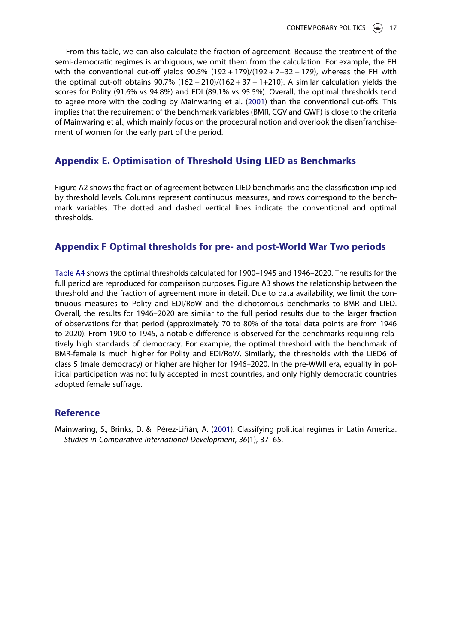From this table, we can also calculate the fraction of agreement. Because the treatment of the semi-democratic regimes is ambiguous, we omit them from the calculation. For example, the FH with the conventional cut-off yields  $90.5\%$  (192 + 179)/(192 + 7+32 + 179), whereas the FH with the optimal cut-off obtains  $90.7\%$   $(162 + 210)/(162 + 37 + 1+210)$ . A similar calculation yields the scores for Polity (91.6% vs 94.8%) and EDI (89.1% vs 95.5%). Overall, the optimal thresholds tend to agree more with the coding by Mainwaring et al. (2001) than the conventional cut-offs. This implies that the requirement of the benchmark variables (BMR, CGV and GWF) is close to the criteria of Mainwaring et al., which mainly focus on the procedural notion and overlook the disenfranchisement of women for the early part of the period.

#### Appendix E. Optimisation of Threshold Using LIED as Benchmarks

Figure A2 shows the fraction of agreement between LIED benchmarks and the classification implied by threshold levels. Columns represent continuous measures, and rows correspond to the benchmark variables. The dotted and dashed vertical lines indicate the conventional and optimal thresholds.

#### Appendix F Optimal thresholds for pre- and post-World War Two periods

Table A4 shows the optimal thresholds calculated for 1900–1945 and 1946–2020. The results for the full period are reproduced for comparison purposes. Figure A3 shows the relationship between the threshold and the fraction of agreement more in detail. Due to data availability, we limit the continuous measures to Polity and EDI/RoW and the dichotomous benchmarks to BMR and LIED. Overall, the results for 1946–2020 are similar to the full period results due to the larger fraction of observations for that period (approximately 70 to 80% of the total data points are from 1946 to 2020). From 1900 to 1945, a notable difference is observed for the benchmarks requiring relatively high standards of democracy. For example, the optimal threshold with the benchmark of BMR-female is much higher for Polity and EDI/RoW. Similarly, the thresholds with the LIED6 of class 5 (male democracy) or higher are higher for 1946–2020. In the pre-WWII era, equality in political participation was not fully accepted in most countries, and only highly democratic countries adopted female suffrage.

#### Reference

Mainwaring, S., Brinks, D. & Pérez-Liñán, A. (2001). Classifying political regimes in Latin America. Studies in Comparative International Development, 36(1), 37–65.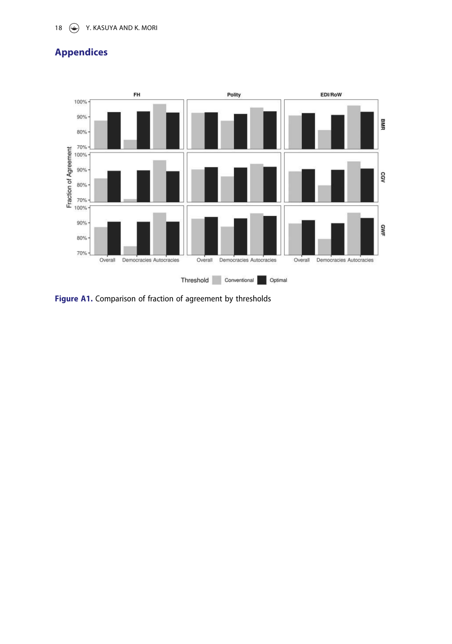# 18  $\odot$  Y. KASUYA AND K. MORI

# Appendices



Figure A1. Comparison of fraction of agreement by thresholds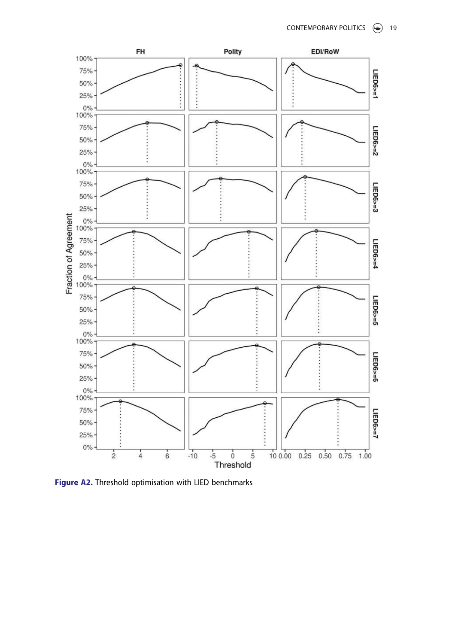

Figure A2. Threshold optimisation with LIED benchmarks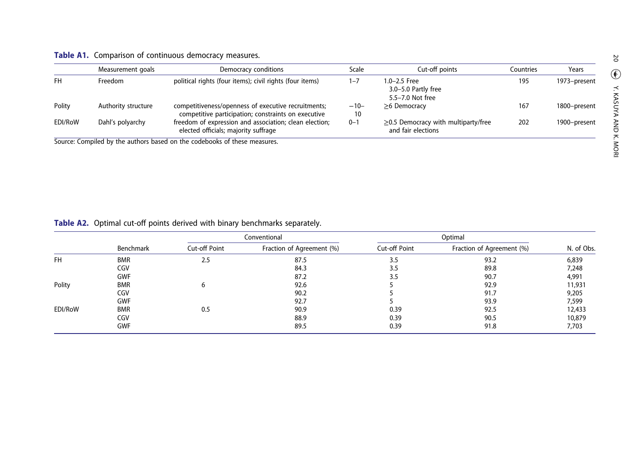#### Table A1. Comparison of continuous democracy measures.

|           | Measurement goals   | Democracy conditions                                                                                       | Scale        | Cut-off points                                                  | Countries | Years        |
|-----------|---------------------|------------------------------------------------------------------------------------------------------------|--------------|-----------------------------------------------------------------|-----------|--------------|
| <b>FH</b> | Freedom             | political rights (four items); civil rights (four items)                                                   | 1–7          | $1.0 - 2.5$ Free<br>3.0-5.0 Partly free<br>5.5-7.0 Not free     | 195       | 1973-present |
| Polity    | Authority structure | competitiveness/openness of executive recruitments;<br>competitive participation; constraints on executive | $-10-$<br>10 | $\geq$ 6 Democracy                                              | 167       | 1800-present |
| EDI/RoW   | Dahl's polyarchy    | freedom of expression and association; clean election;<br>elected officials; majority suffrage             | $0 - 1$      | $\geq$ 0.5 Democracy with multiparty/free<br>and fair elections | 202       | 1900-present |

Source: Compiled by the authors based on the codebooks of these measures.

#### **Table A2.** Optimal cut-off points derived with binary benchmarks separately.

|           |            | Conventional  |                           |                      |                           |            |
|-----------|------------|---------------|---------------------------|----------------------|---------------------------|------------|
|           | Benchmark  | Cut-off Point | Fraction of Agreement (%) | <b>Cut-off Point</b> | Fraction of Agreement (%) | N. of Obs. |
| <b>FH</b> | <b>BMR</b> | 2.5           | 87.5                      | 3.5                  | 93.2                      | 6,839      |
|           | CGV        |               | 84.3                      | 3.5                  | 89.8                      | 7,248      |
|           | <b>GWF</b> |               | 87.2                      | 3.5                  | 90.7                      | 4,991      |
| Polity    | <b>BMR</b> | 6             | 92.6                      |                      | 92.9                      | 11,931     |
|           | CGV        |               | 90.2                      |                      | 91.7                      | 9,205      |
|           | <b>GWF</b> |               | 92.7                      |                      | 93.9                      | 7,599      |
| EDI/RoW   | <b>BMR</b> | 0.5           | 90.9                      | 0.39                 | 92.5                      | 12,433     |
|           | CGV        |               | 88.9                      | 0.39                 | 90.5                      | 10,879     |
|           | <b>GWF</b> |               | 89.5                      | 0.39                 | 91.8                      | 7,703      |